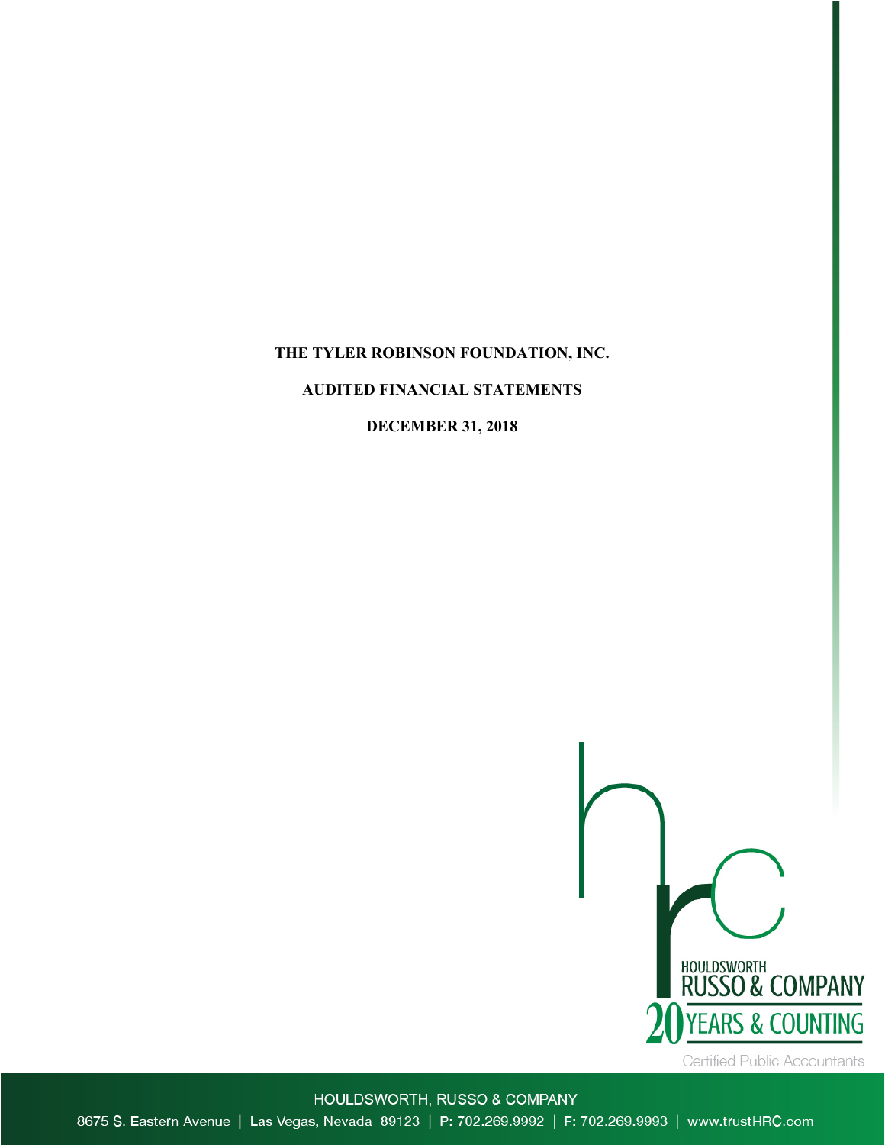## **THE TYLER ROBINSON FOUNDATION, INC.**

## **AUDITED FINANCIAL STATEMENTS**

## **DECEMBER 31, 2018**



HOULDSWORTH, RUSSO & COMPANY 8675 S. Eastern Avenue | Las Vegas, Nevada 89123 | P: 702.269.9992 | F: 702.269.9993 | www.trustHRC.com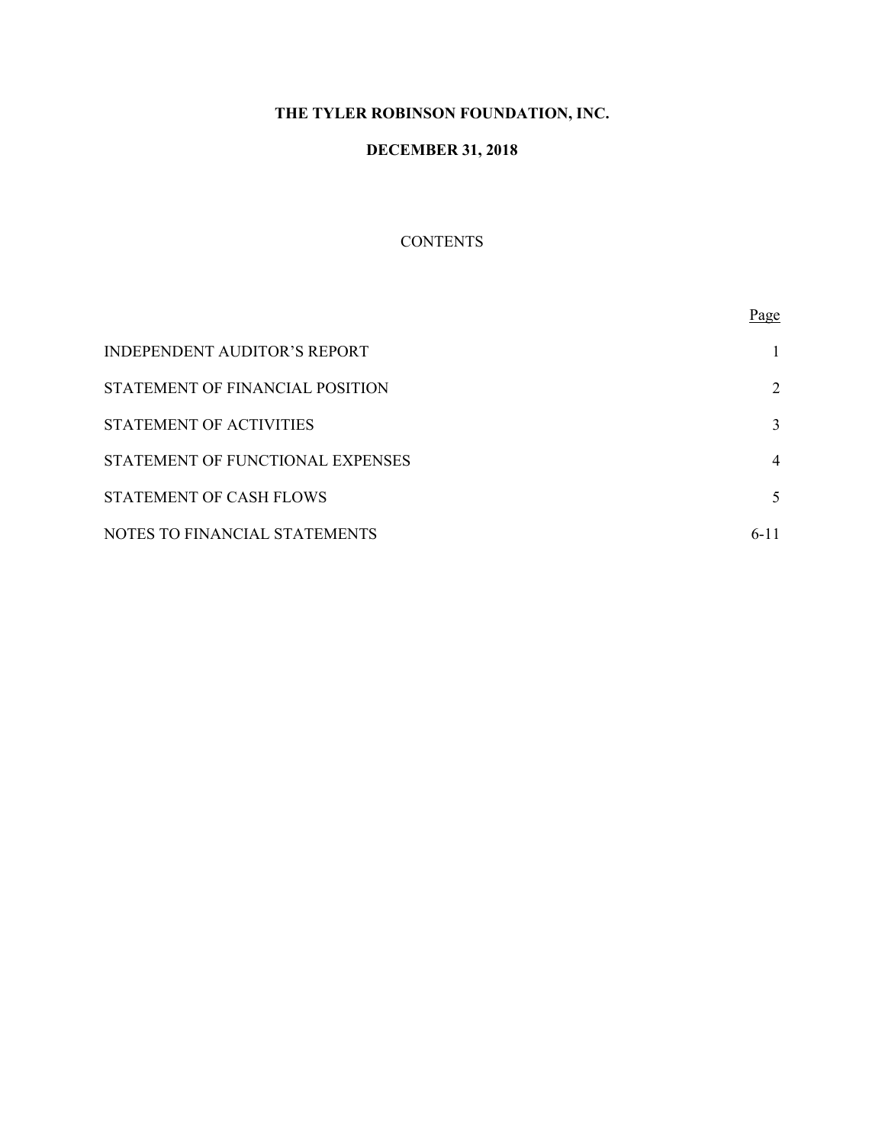# **THE TYLER ROBINSON FOUNDATION, INC.**

# **DECEMBER 31, 2018**

# **CONTENTS**

|                                     | Page     |
|-------------------------------------|----------|
| <b>INDEPENDENT AUDITOR'S REPORT</b> |          |
| STATEMENT OF FINANCIAL POSITION     | 2        |
| STATEMENT OF ACTIVITIES             | 3        |
| STATEMENT OF FUNCTIONAL EXPENSES    | 4        |
| <b>STATEMENT OF CASH FLOWS</b>      | 5        |
| NOTES TO FINANCIAL STATEMENTS       | $6 - 11$ |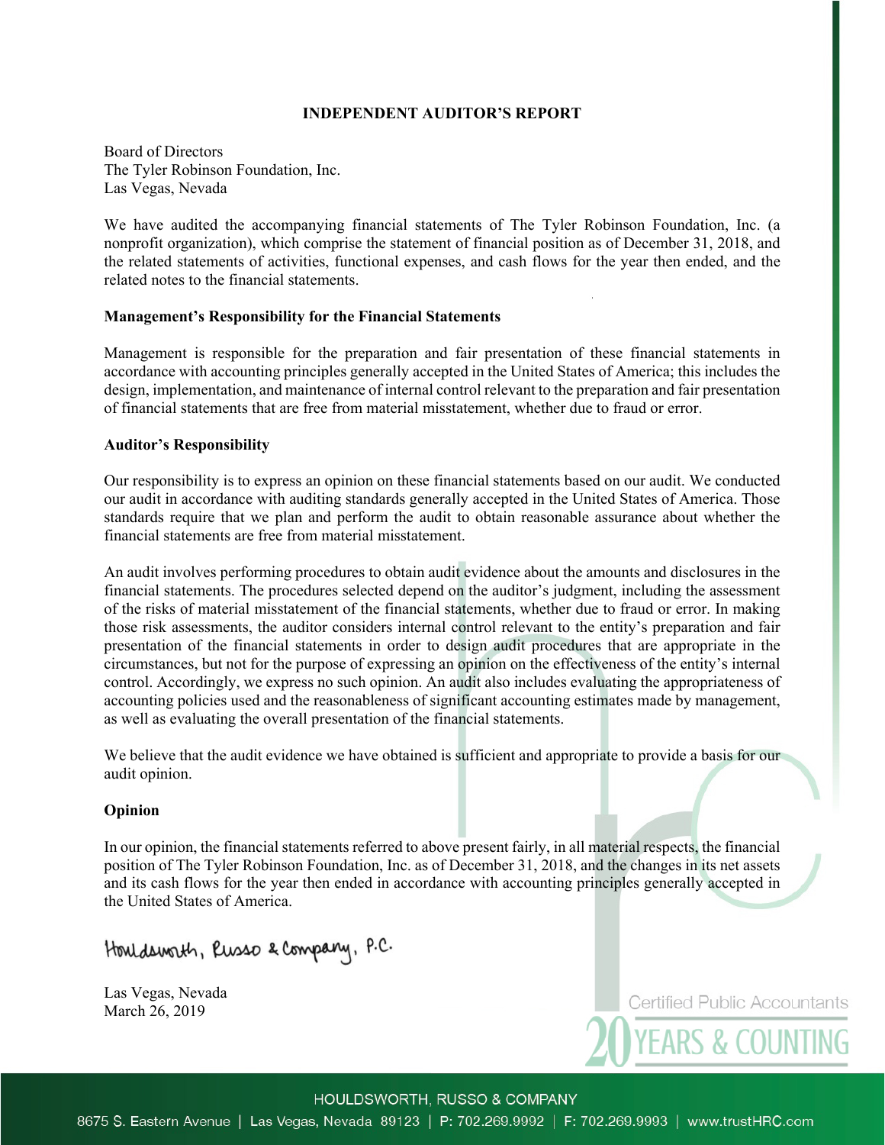## **INDEPENDENT AUDITOR'S REPORT**

Board of Directors The Tyler Robinson Foundation, Inc. Las Vegas, Nevada

We have audited the accompanying financial statements of The Tyler Robinson Foundation, Inc. (a nonprofit organization), which comprise the statement of financial position as of December 31, 2018, and the related statements of activities, functional expenses, and cash flows for the year then ended, and the related notes to the financial statements.

## **Management's Responsibility for the Financial Statements**

Management is responsible for the preparation and fair presentation of these financial statements in accordance with accounting principles generally accepted in the United States of America; this includes the design, implementation, and maintenance of internal control relevant to the preparation and fair presentation of financial statements that are free from material misstatement, whether due to fraud or error.

## **Auditor's Responsibility**

Our responsibility is to express an opinion on these financial statements based on our audit. We conducted our audit in accordance with auditing standards generally accepted in the United States of America. Those standards require that we plan and perform the audit to obtain reasonable assurance about whether the financial statements are free from material misstatement.

An audit involves performing procedures to obtain audit evidence about the amounts and disclosures in the financial statements. The procedures selected depend on the auditor's judgment, including the assessment of the risks of material misstatement of the financial statements, whether due to fraud or error. In making those risk assessments, the auditor considers internal control relevant to the entity's preparation and fair presentation of the financial statements in order to design audit procedures that are appropriate in the circumstances, but not for the purpose of expressing an opinion on the effectiveness of the entity's internal control. Accordingly, we express no such opinion. An audit also includes evaluating the appropriateness of accounting policies used and the reasonableness of significant accounting estimates made by management, as well as evaluating the overall presentation of the financial statements.

We believe that the audit evidence we have obtained is sufficient and appropriate to provide a basis for our audit opinion.

## **Opinion**

In our opinion, the financial statements referred to above present fairly, in all material respects, the financial position of The Tyler Robinson Foundation, Inc. as of December 31, 2018, and the changes in its net assets and its cash flows for the year then ended in accordance with accounting principles generally accepted in the United States of America.

Houldsworth, Russo & Company, P.C.

Las Vegas, Nevada March 26, 2019

**Certified Public Accountants** 

**YEARS & COUNTING** 

HOULDSWORTH, RUSSO & COMPANY

8675 S. Eastern Avenue | Las Vegas, Nevada 89123 | P: 702.269.9992 | F: 702.269.9993 | www.trustHRC.com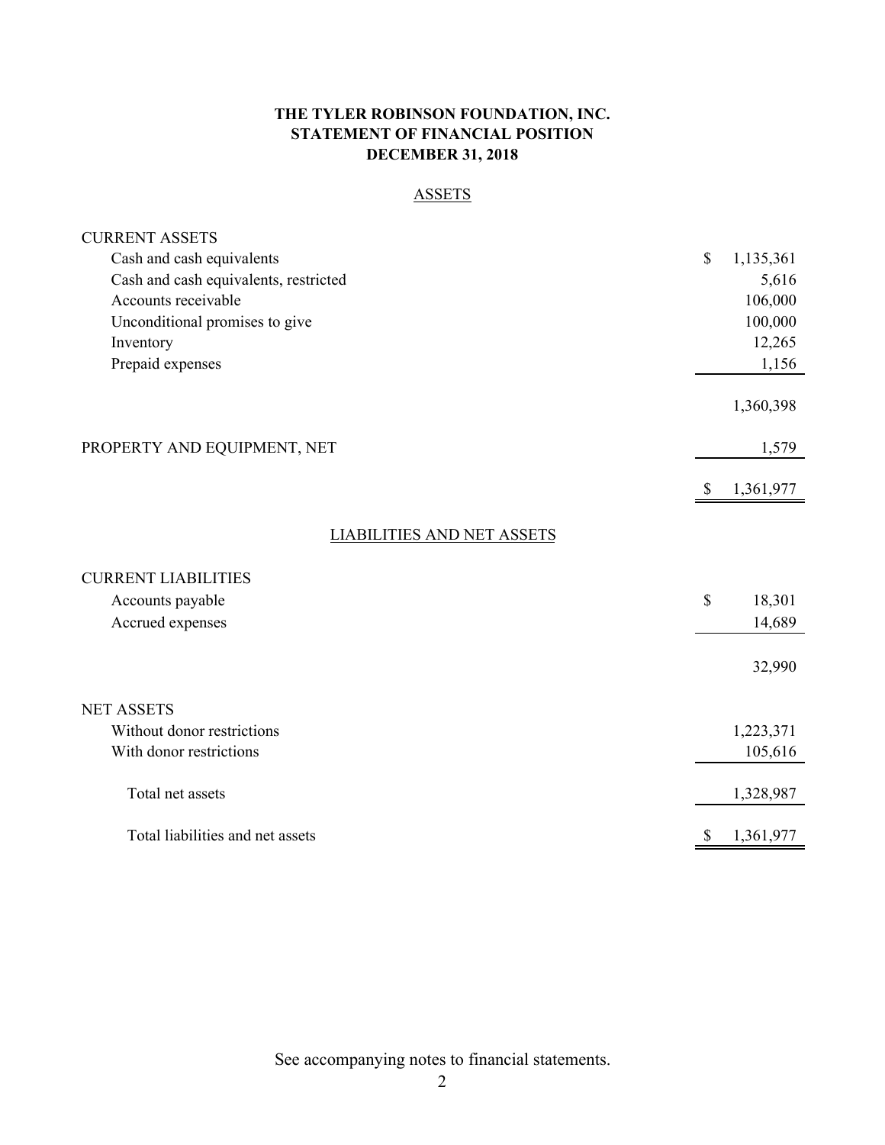## **THE TYLER ROBINSON FOUNDATION, INC. STATEMENT OF FINANCIAL POSITION DECEMBER 31, 2018**

# **ASSETS**

| <b>CURRENT ASSETS</b>                 |              |           |
|---------------------------------------|--------------|-----------|
| Cash and cash equivalents             | \$           | 1,135,361 |
| Cash and cash equivalents, restricted |              | 5,616     |
| Accounts receivable                   |              | 106,000   |
| Unconditional promises to give        |              | 100,000   |
| Inventory                             |              | 12,265    |
| Prepaid expenses                      |              | 1,156     |
|                                       |              | 1,360,398 |
| PROPERTY AND EQUIPMENT, NET           |              | 1,579     |
|                                       | <sup>S</sup> | 1,361,977 |
| <b>LIABILITIES AND NET ASSETS</b>     |              |           |
|                                       |              |           |
| <b>CURRENT LIABILITIES</b>            |              |           |
| Accounts payable                      | \$           | 18,301    |
| Accrued expenses                      |              | 14,689    |
|                                       |              | 32,990    |
|                                       |              |           |
| <b>NET ASSETS</b>                     |              |           |
| Without donor restrictions            |              | 1,223,371 |
| With donor restrictions               |              | 105,616   |
| Total net assets                      |              | 1,328,987 |
| Total liabilities and net assets      | \$           | 1,361,977 |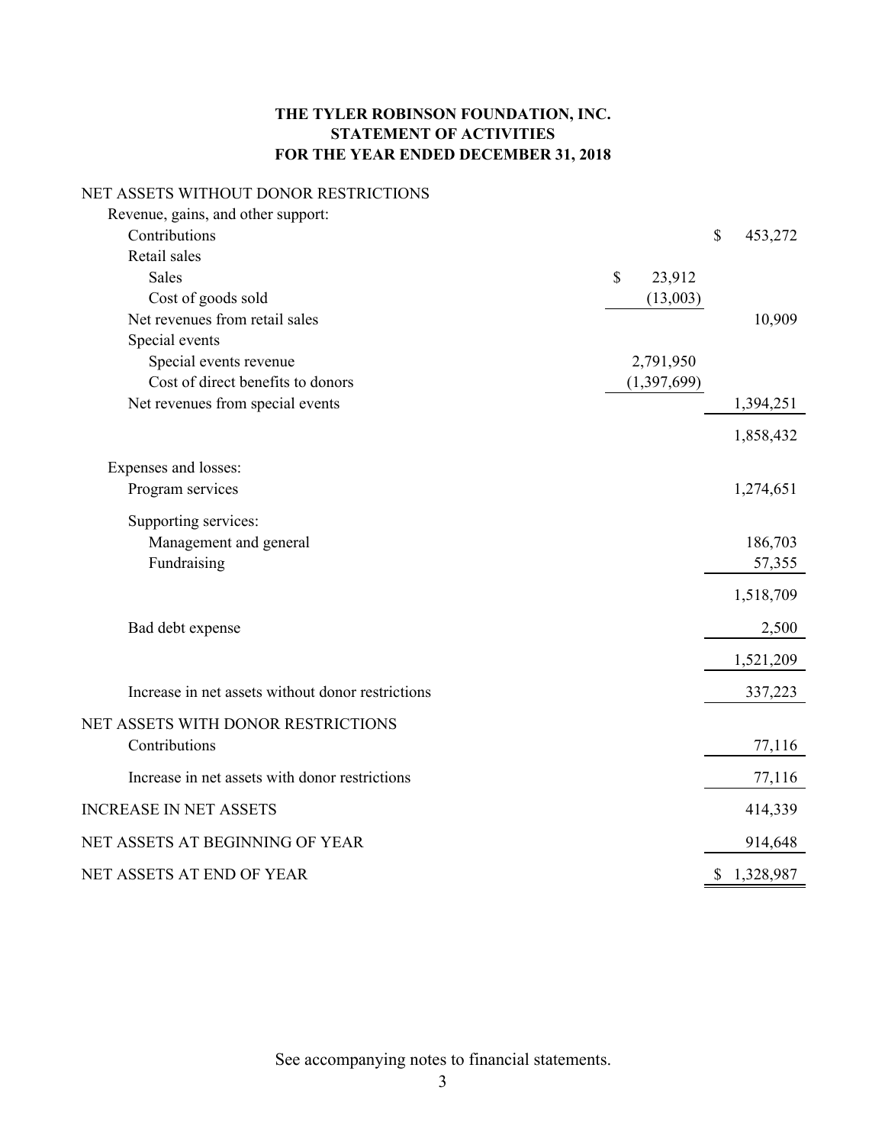# **THE TYLER ROBINSON FOUNDATION, INC. STATEMENT OF ACTIVITIES FOR THE YEAR ENDED DECEMBER 31, 2018**

## NET ASSETS WITHOUT DONOR RESTRICTIONS

| Revenue, gains, and other support:                |              |             |      |           |
|---------------------------------------------------|--------------|-------------|------|-----------|
| Contributions                                     |              |             | $\$$ | 453,272   |
| Retail sales                                      |              |             |      |           |
| <b>Sales</b>                                      | $\mathbb{S}$ | 23,912      |      |           |
| Cost of goods sold                                |              | (13,003)    |      |           |
| Net revenues from retail sales                    |              |             |      | 10,909    |
| Special events                                    |              |             |      |           |
| Special events revenue                            |              | 2,791,950   |      |           |
| Cost of direct benefits to donors                 |              | (1,397,699) |      |           |
| Net revenues from special events                  |              |             |      | 1,394,251 |
|                                                   |              |             |      | 1,858,432 |
| Expenses and losses:                              |              |             |      |           |
| Program services                                  |              |             |      | 1,274,651 |
| Supporting services:                              |              |             |      |           |
| Management and general                            |              |             |      | 186,703   |
| Fundraising                                       |              |             |      | 57,355    |
|                                                   |              |             |      | 1,518,709 |
| Bad debt expense                                  |              |             |      | 2,500     |
|                                                   |              |             |      |           |
|                                                   |              |             |      | 1,521,209 |
| Increase in net assets without donor restrictions |              |             |      | 337,223   |
| NET ASSETS WITH DONOR RESTRICTIONS                |              |             |      |           |
| Contributions                                     |              |             |      | 77,116    |
| Increase in net assets with donor restrictions    |              |             |      | 77,116    |
| <b>INCREASE IN NET ASSETS</b>                     |              |             |      | 414,339   |
| NET ASSETS AT BEGINNING OF YEAR                   |              |             |      | 914,648   |
| NET ASSETS AT END OF YEAR                         |              |             | \$   | 1,328,987 |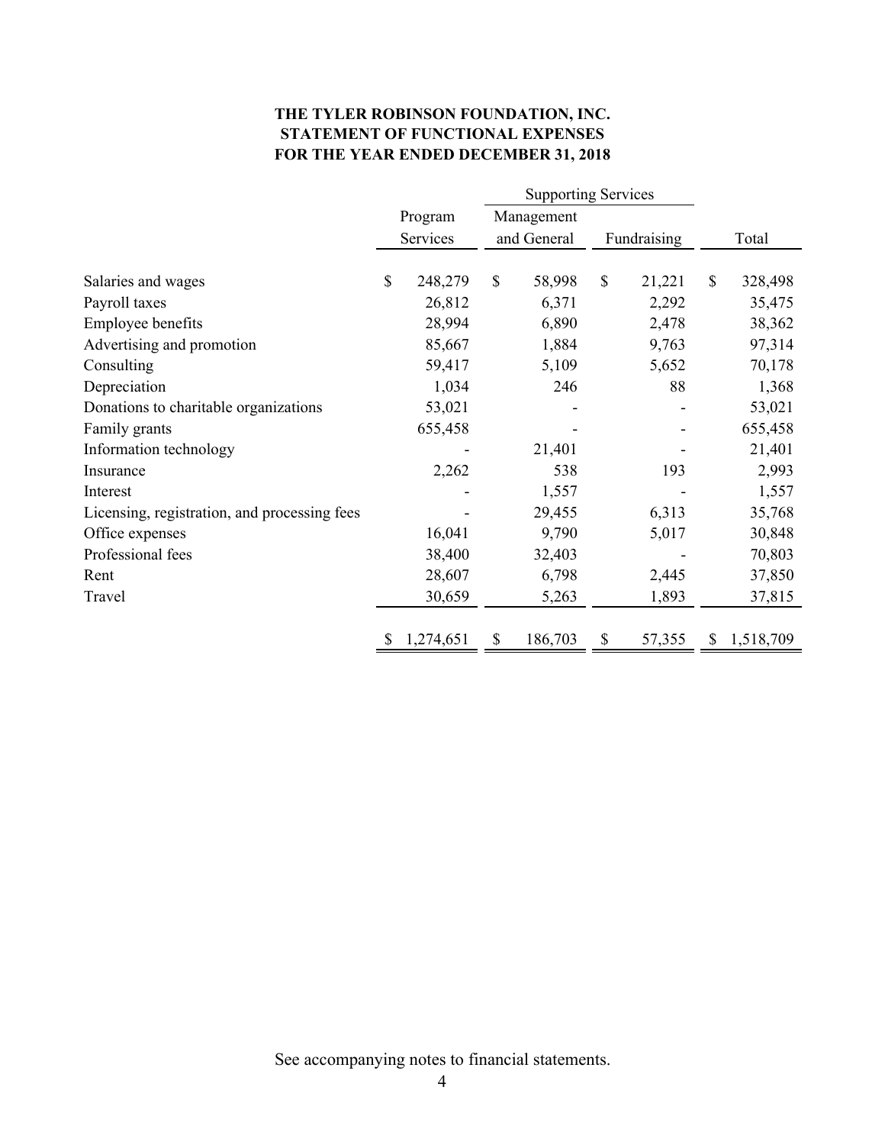## **THE TYLER ROBINSON FOUNDATION, INC. STATEMENT OF FUNCTIONAL EXPENSES FOR THE YEAR ENDED DECEMBER 31, 2018**

|          | <b>Supporting Services</b> |              |        |                       |             |              |           |
|----------|----------------------------|--------------|--------|-----------------------|-------------|--------------|-----------|
|          | Program                    |              |        |                       |             |              |           |
| Services |                            | and General  |        |                       | Fundraising |              | Total     |
|          |                            |              |        |                       |             |              |           |
| \$       | 248,279                    | $\mathbb{S}$ | 58,998 | \$                    | 21,221      | $\mathbb{S}$ | 328,498   |
|          | 26,812                     |              | 6,371  |                       | 2,292       |              | 35,475    |
|          | 28,994                     |              | 6,890  |                       | 2,478       |              | 38,362    |
|          | 85,667                     |              | 1,884  |                       | 9,763       |              | 97,314    |
|          | 59,417                     |              | 5,109  |                       | 5,652       |              | 70,178    |
|          | 1,034                      |              | 246    |                       | 88          |              | 1,368     |
|          | 53,021                     |              |        |                       |             |              | 53,021    |
|          | 655,458                    |              |        |                       |             |              | 655,458   |
|          |                            |              | 21,401 |                       |             |              | 21,401    |
|          | 2,262                      |              | 538    |                       | 193         |              | 2,993     |
|          |                            |              | 1,557  |                       |             |              | 1,557     |
|          |                            |              | 29,455 |                       | 6,313       |              | 35,768    |
|          | 16,041                     |              | 9,790  |                       | 5,017       |              | 30,848    |
|          | 38,400                     |              | 32,403 |                       |             |              | 70,803    |
|          | 28,607                     |              | 6,798  |                       | 2,445       |              | 37,850    |
|          | 30,659                     |              | 5,263  |                       | 1,893       |              | 37,815    |
|          |                            | S            |        |                       |             | S            | 1,518,709 |
|          |                            | 1,274,651    |        | Management<br>186,703 | \$          | 57,355       |           |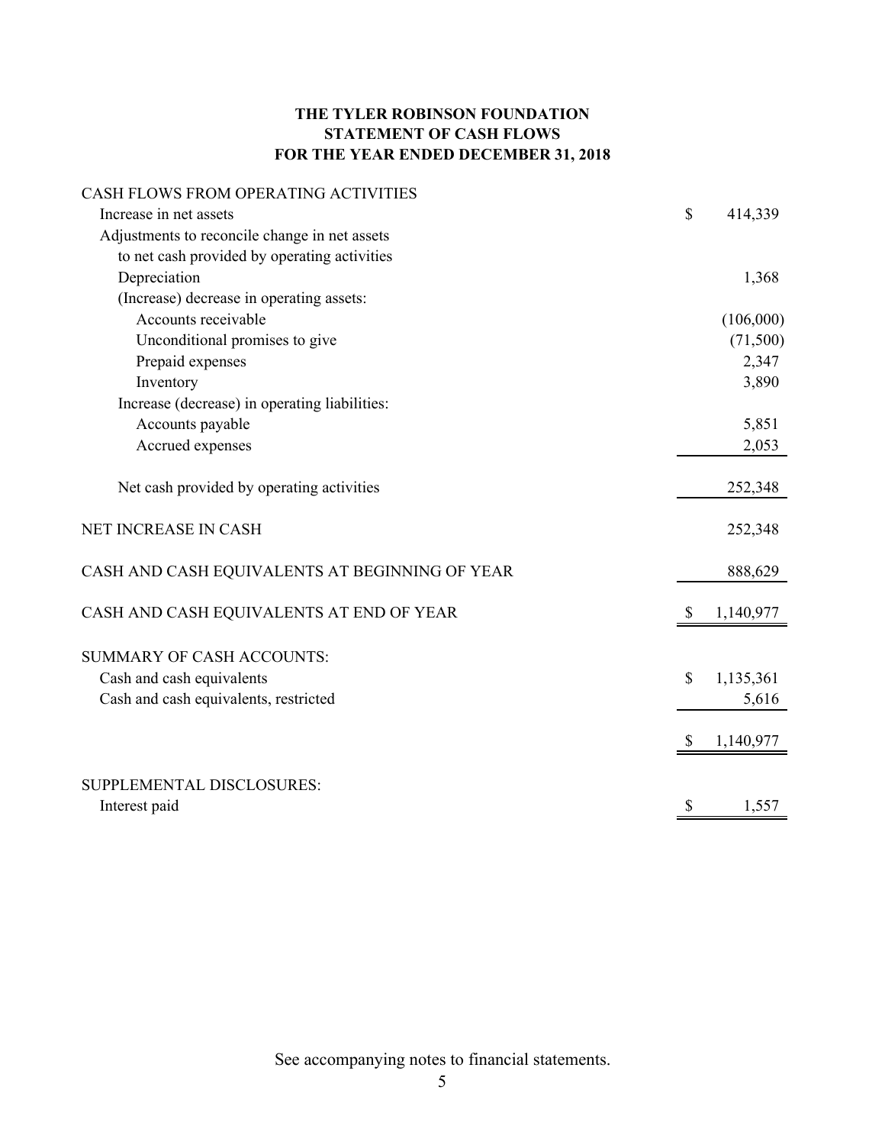## **THE TYLER ROBINSON FOUNDATION STATEMENT OF CASH FLOWS FOR THE YEAR ENDED DECEMBER 31, 2018**

## CASH FLOWS FROM OPERATING ACTIVITIES

| Increase in net assets                         | $\mathsf{\$}$ | 414,339   |
|------------------------------------------------|---------------|-----------|
| Adjustments to reconcile change in net assets  |               |           |
| to net cash provided by operating activities   |               |           |
| Depreciation                                   |               | 1,368     |
| (Increase) decrease in operating assets:       |               |           |
| Accounts receivable                            |               | (106,000) |
| Unconditional promises to give                 |               | (71,500)  |
| Prepaid expenses                               |               | 2,347     |
| Inventory                                      |               | 3,890     |
| Increase (decrease) in operating liabilities:  |               |           |
| Accounts payable                               |               | 5,851     |
| Accrued expenses                               |               | 2,053     |
| Net cash provided by operating activities      |               | 252,348   |
| NET INCREASE IN CASH                           |               | 252,348   |
| CASH AND CASH EQUIVALENTS AT BEGINNING OF YEAR |               | 888,629   |
| CASH AND CASH EQUIVALENTS AT END OF YEAR       | <sup>8</sup>  | 1,140,977 |
| <b>SUMMARY OF CASH ACCOUNTS:</b>               |               |           |
| Cash and cash equivalents                      | \$            | 1,135,361 |
| Cash and cash equivalents, restricted          |               | 5,616     |
|                                                |               |           |
|                                                |               | 1,140,977 |
| SUPPLEMENTAL DISCLOSURES:                      |               |           |
| Interest paid                                  | \$            | 1,557     |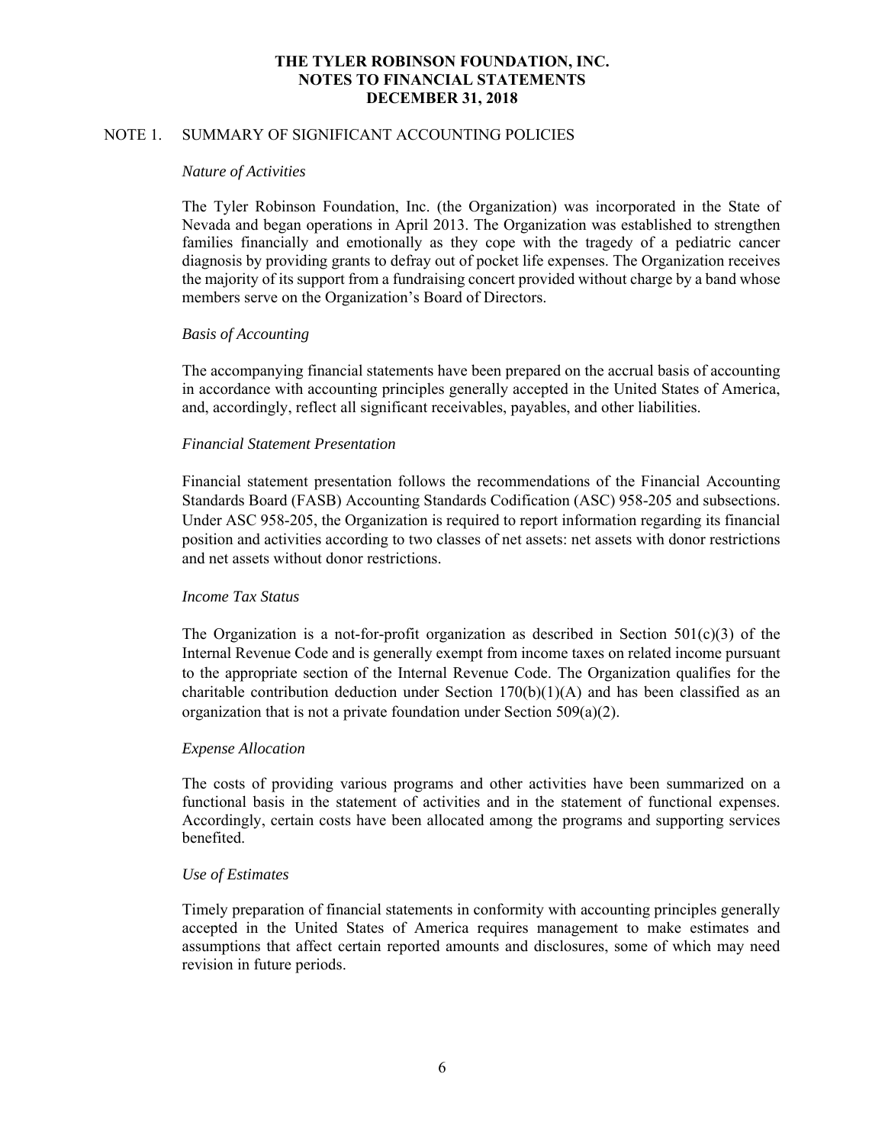## NOTE 1. SUMMARY OF SIGNIFICANT ACCOUNTING POLICIES

#### *Nature of Activities*

The Tyler Robinson Foundation, Inc. (the Organization) was incorporated in the State of Nevada and began operations in April 2013. The Organization was established to strengthen families financially and emotionally as they cope with the tragedy of a pediatric cancer diagnosis by providing grants to defray out of pocket life expenses. The Organization receives the majority of its support from a fundraising concert provided without charge by a band whose members serve on the Organization's Board of Directors.

## *Basis of Accounting*

 The accompanying financial statements have been prepared on the accrual basis of accounting in accordance with accounting principles generally accepted in the United States of America, and, accordingly, reflect all significant receivables, payables, and other liabilities.

## *Financial Statement Presentation*

Financial statement presentation follows the recommendations of the Financial Accounting Standards Board (FASB) Accounting Standards Codification (ASC) 958-205 and subsections. Under ASC 958-205, the Organization is required to report information regarding its financial position and activities according to two classes of net assets: net assets with donor restrictions and net assets without donor restrictions.

## *Income Tax Status*

The Organization is a not-for-profit organization as described in Section  $501(c)(3)$  of the Internal Revenue Code and is generally exempt from income taxes on related income pursuant to the appropriate section of the Internal Revenue Code. The Organization qualifies for the charitable contribution deduction under Section  $170(b)(1)(A)$  and has been classified as an organization that is not a private foundation under Section  $509(a)(2)$ .

## *Expense Allocation*

The costs of providing various programs and other activities have been summarized on a functional basis in the statement of activities and in the statement of functional expenses. Accordingly, certain costs have been allocated among the programs and supporting services benefited.

## *Use of Estimates*

Timely preparation of financial statements in conformity with accounting principles generally accepted in the United States of America requires management to make estimates and assumptions that affect certain reported amounts and disclosures, some of which may need revision in future periods.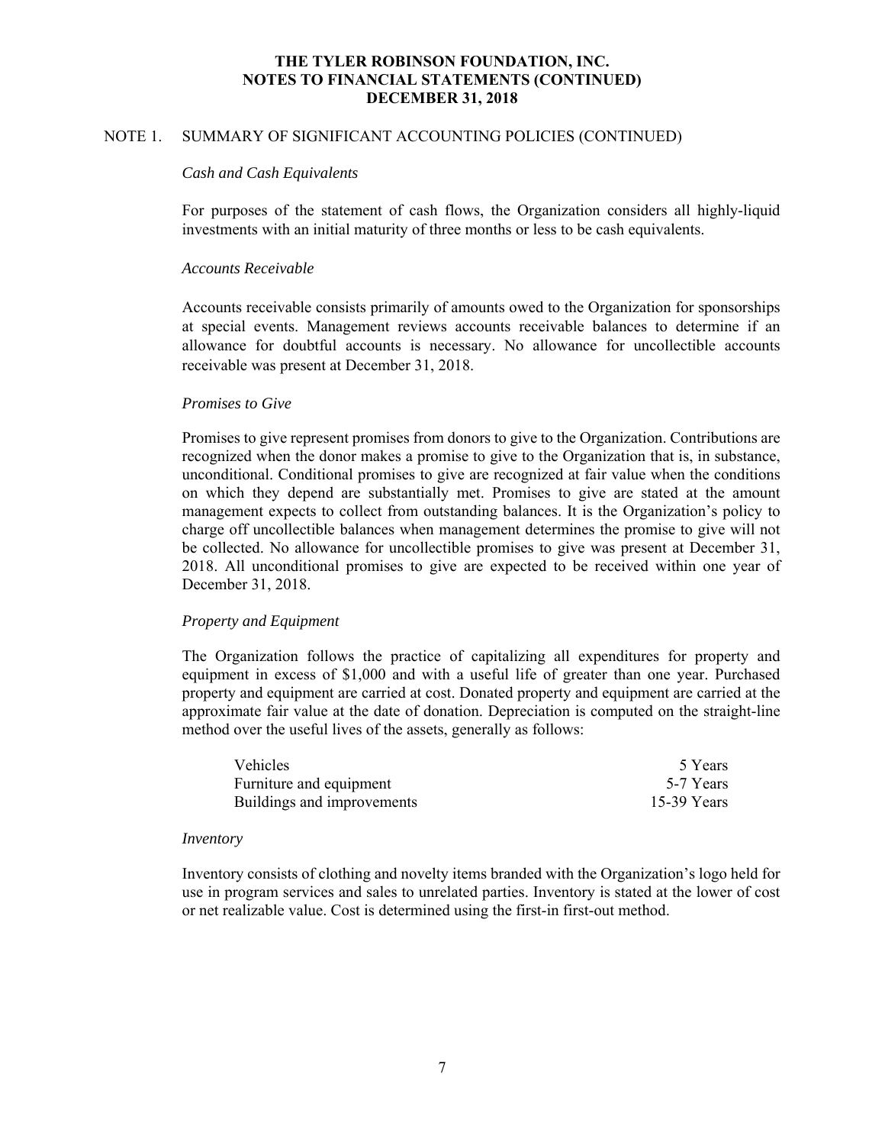## NOTE 1. SUMMARY OF SIGNIFICANT ACCOUNTING POLICIES (CONTINUED)

#### *Cash and Cash Equivalents*

For purposes of the statement of cash flows, the Organization considers all highly-liquid investments with an initial maturity of three months or less to be cash equivalents.

#### *Accounts Receivable*

Accounts receivable consists primarily of amounts owed to the Organization for sponsorships at special events. Management reviews accounts receivable balances to determine if an allowance for doubtful accounts is necessary. No allowance for uncollectible accounts receivable was present at December 31, 2018.

#### *Promises to Give*

 Promises to give represent promises from donors to give to the Organization. Contributions are recognized when the donor makes a promise to give to the Organization that is, in substance, unconditional. Conditional promises to give are recognized at fair value when the conditions on which they depend are substantially met. Promises to give are stated at the amount management expects to collect from outstanding balances. It is the Organization's policy to charge off uncollectible balances when management determines the promise to give will not be collected. No allowance for uncollectible promises to give was present at December 31, 2018. All unconditional promises to give are expected to be received within one year of December 31, 2018.

## *Property and Equipment*

The Organization follows the practice of capitalizing all expenditures for property and equipment in excess of \$1,000 and with a useful life of greater than one year. Purchased property and equipment are carried at cost. Donated property and equipment are carried at the approximate fair value at the date of donation. Depreciation is computed on the straight-line method over the useful lives of the assets, generally as follows:

| <b>Vehicles</b>            | 5 Years       |
|----------------------------|---------------|
| Furniture and equipment    | 5-7 Years     |
| Buildings and improvements | $15-39$ Years |

#### *Inventory*

Inventory consists of clothing and novelty items branded with the Organization's logo held for use in program services and sales to unrelated parties. Inventory is stated at the lower of cost or net realizable value. Cost is determined using the first-in first-out method.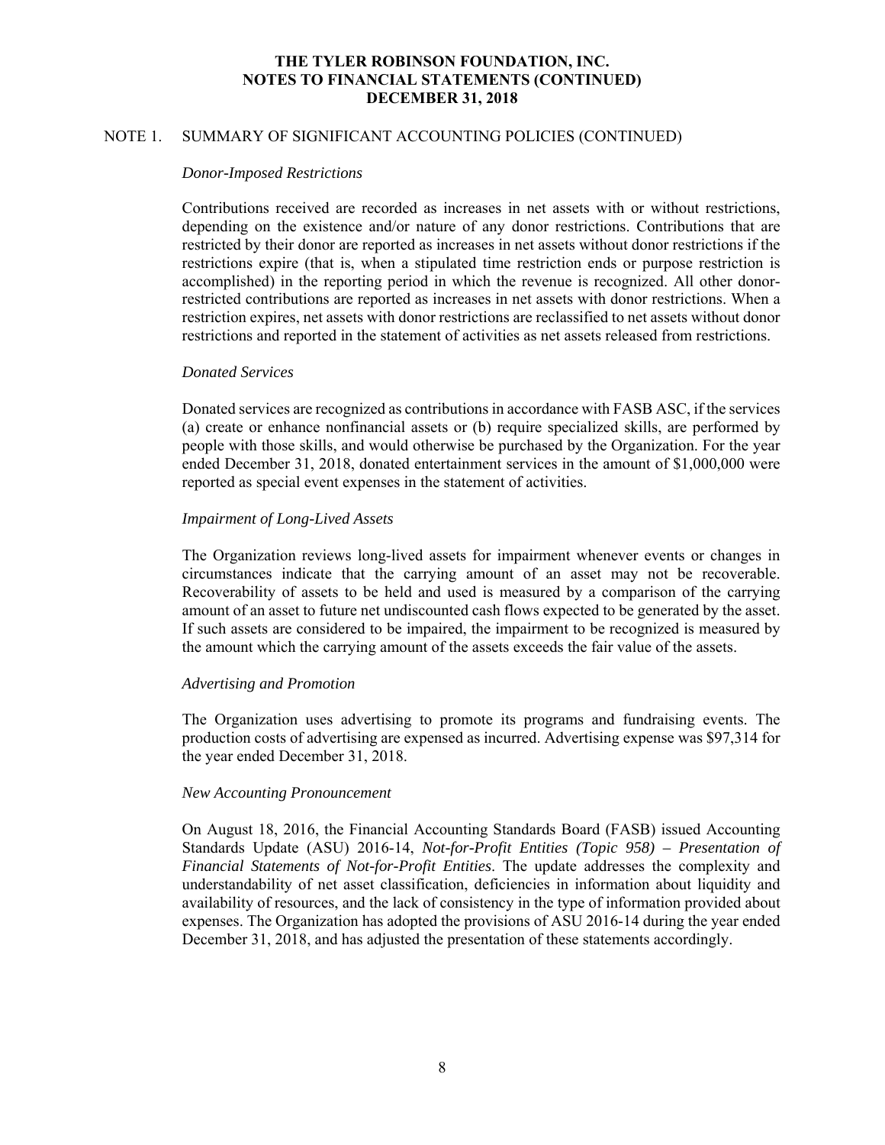## NOTE 1. SUMMARY OF SIGNIFICANT ACCOUNTING POLICIES (CONTINUED)

#### *Donor-Imposed Restrictions*

Contributions received are recorded as increases in net assets with or without restrictions, depending on the existence and/or nature of any donor restrictions. Contributions that are restricted by their donor are reported as increases in net assets without donor restrictions if the restrictions expire (that is, when a stipulated time restriction ends or purpose restriction is accomplished) in the reporting period in which the revenue is recognized. All other donorrestricted contributions are reported as increases in net assets with donor restrictions. When a restriction expires, net assets with donor restrictions are reclassified to net assets without donor restrictions and reported in the statement of activities as net assets released from restrictions.

#### *Donated Services*

Donated services are recognized as contributions in accordance with FASB ASC, if the services (a) create or enhance nonfinancial assets or (b) require specialized skills, are performed by people with those skills, and would otherwise be purchased by the Organization. For the year ended December 31, 2018, donated entertainment services in the amount of \$1,000,000 were reported as special event expenses in the statement of activities.

## *Impairment of Long-Lived Assets*

The Organization reviews long-lived assets for impairment whenever events or changes in circumstances indicate that the carrying amount of an asset may not be recoverable. Recoverability of assets to be held and used is measured by a comparison of the carrying amount of an asset to future net undiscounted cash flows expected to be generated by the asset. If such assets are considered to be impaired, the impairment to be recognized is measured by the amount which the carrying amount of the assets exceeds the fair value of the assets.

## *Advertising and Promotion*

The Organization uses advertising to promote its programs and fundraising events. The production costs of advertising are expensed as incurred. Advertising expense was \$97,314 for the year ended December 31, 2018.

## *New Accounting Pronouncement*

On August 18, 2016, the Financial Accounting Standards Board (FASB) issued Accounting Standards Update (ASU) 2016-14, *Not-for-Profit Entities (Topic 958) – Presentation of Financial Statements of Not-for-Profit Entities*. The update addresses the complexity and understandability of net asset classification, deficiencies in information about liquidity and availability of resources, and the lack of consistency in the type of information provided about expenses. The Organization has adopted the provisions of ASU 2016-14 during the year ended December 31, 2018, and has adjusted the presentation of these statements accordingly.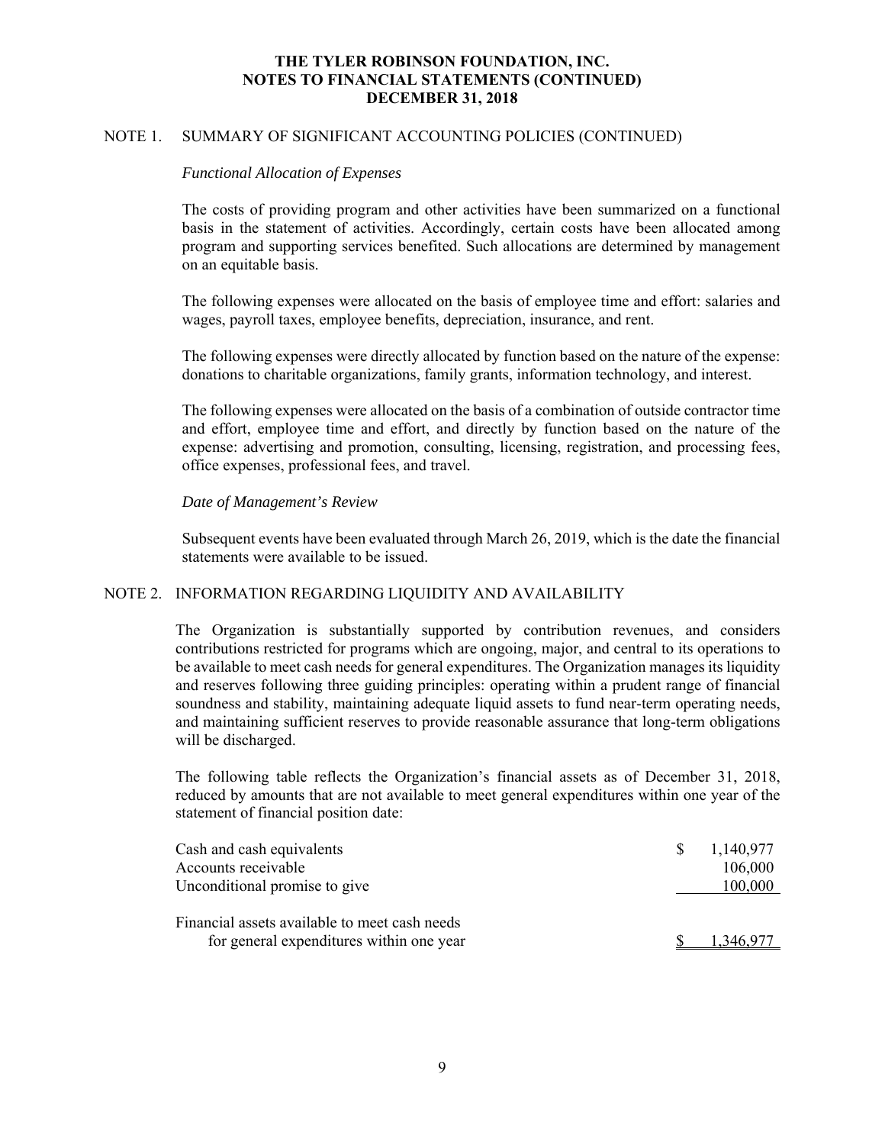## NOTE 1. SUMMARY OF SIGNIFICANT ACCOUNTING POLICIES (CONTINUED)

#### *Functional Allocation of Expenses*

The costs of providing program and other activities have been summarized on a functional basis in the statement of activities. Accordingly, certain costs have been allocated among program and supporting services benefited. Such allocations are determined by management on an equitable basis.

The following expenses were allocated on the basis of employee time and effort: salaries and wages, payroll taxes, employee benefits, depreciation, insurance, and rent.

The following expenses were directly allocated by function based on the nature of the expense: donations to charitable organizations, family grants, information technology, and interest.

The following expenses were allocated on the basis of a combination of outside contractor time and effort, employee time and effort, and directly by function based on the nature of the expense: advertising and promotion, consulting, licensing, registration, and processing fees, office expenses, professional fees, and travel.

## *Date of Management's Review*

Subsequent events have been evaluated through March 26, 2019, which is the date the financial statements were available to be issued.

## NOTE 2. INFORMATION REGARDING LIQUIDITY AND AVAILABILITY

The Organization is substantially supported by contribution revenues, and considers contributions restricted for programs which are ongoing, major, and central to its operations to be available to meet cash needs for general expenditures. The Organization manages its liquidity and reserves following three guiding principles: operating within a prudent range of financial soundness and stability, maintaining adequate liquid assets to fund near-term operating needs, and maintaining sufficient reserves to provide reasonable assurance that long-term obligations will be discharged.

The following table reflects the Organization's financial assets as of December 31, 2018, reduced by amounts that are not available to meet general expenditures within one year of the statement of financial position date:

| Cash and cash equivalents                     | 1,140,977 |
|-----------------------------------------------|-----------|
| Accounts receivable                           | 106,000   |
| Unconditional promise to give                 | 100,000   |
|                                               |           |
| Financial assets available to meet cash needs |           |
| for general expenditures within one year      |           |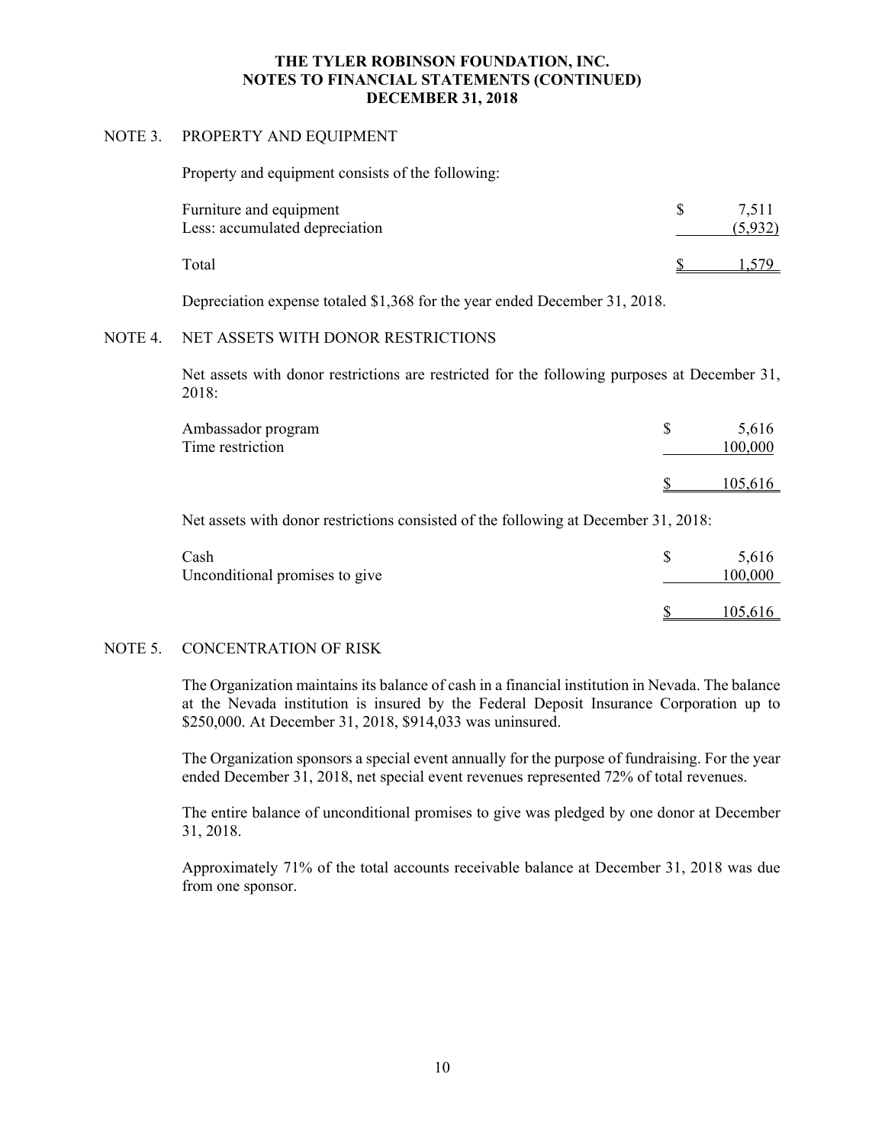## NOTE 3. PROPERTY AND EQUIPMENT

Property and equipment consists of the following:

| Furniture and equipment<br>Less: accumulated depreciation | 7.511<br>(5.932) |
|-----------------------------------------------------------|------------------|
| Total                                                     |                  |

Depreciation expense totaled \$1,368 for the year ended December 31, 2018.

## NOTE 4. NET ASSETS WITH DONOR RESTRICTIONS

Net assets with donor restrictions are restricted for the following purposes at December 31, 2018:

| Ambassador program<br>Time restriction | 5,616<br>00,000 |
|----------------------------------------|-----------------|
|                                        | 105,616         |

Net assets with donor restrictions consisted of the following at December 31, 2018:

| Cash<br>Unconditional promises to give | 5,616<br>100,000 |
|----------------------------------------|------------------|
|                                        | 105,616          |

## NOTE 5. CONCENTRATION OF RISK

The Organization maintains its balance of cash in a financial institution in Nevada. The balance at the Nevada institution is insured by the Federal Deposit Insurance Corporation up to \$250,000. At December 31, 2018, \$914,033 was uninsured.

The Organization sponsors a special event annually for the purpose of fundraising. For the year ended December 31, 2018, net special event revenues represented 72% of total revenues.

The entire balance of unconditional promises to give was pledged by one donor at December 31, 2018.

Approximately 71% of the total accounts receivable balance at December 31, 2018 was due from one sponsor.